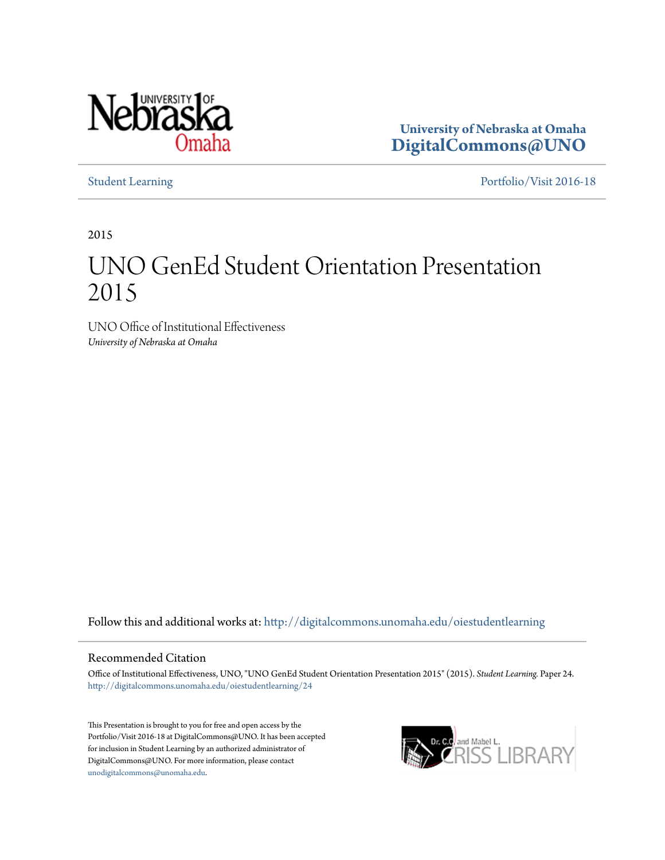

**University of Nebraska at Omaha [DigitalCommons@UNO](http://digitalcommons.unomaha.edu?utm_source=digitalcommons.unomaha.edu%2Foiestudentlearning%2F24&utm_medium=PDF&utm_campaign=PDFCoverPages)**

[Student Learning](http://digitalcommons.unomaha.edu/oiestudentlearning?utm_source=digitalcommons.unomaha.edu%2Foiestudentlearning%2F24&utm_medium=PDF&utm_campaign=PDFCoverPages) [Portfolio/Visit 2016-18](http://digitalcommons.unomaha.edu/oieportfolio?utm_source=digitalcommons.unomaha.edu%2Foiestudentlearning%2F24&utm_medium=PDF&utm_campaign=PDFCoverPages)

2015

### UNO GenEd Student Orientation Presentation 2015

UNO Office of Institutional Effectiveness *University of Nebraska at Omaha*

Follow this and additional works at: [http://digitalcommons.unomaha.edu/oiestudentlearning](http://digitalcommons.unomaha.edu/oiestudentlearning?utm_source=digitalcommons.unomaha.edu%2Foiestudentlearning%2F24&utm_medium=PDF&utm_campaign=PDFCoverPages)

#### Recommended Citation

Office of Institutional Effectiveness, UNO, "UNO GenEd Student Orientation Presentation 2015" (2015). *Student Learning.* Paper 24. [http://digitalcommons.unomaha.edu/oiestudentlearning/24](http://digitalcommons.unomaha.edu/oiestudentlearning/24?utm_source=digitalcommons.unomaha.edu%2Foiestudentlearning%2F24&utm_medium=PDF&utm_campaign=PDFCoverPages)

This Presentation is brought to you for free and open access by the Portfolio/Visit 2016-18 at DigitalCommons@UNO. It has been accepted for inclusion in Student Learning by an authorized administrator of DigitalCommons@UNO. For more information, please contact [unodigitalcommons@unomaha.edu](mailto:unodigitalcommons@unomaha.edu).

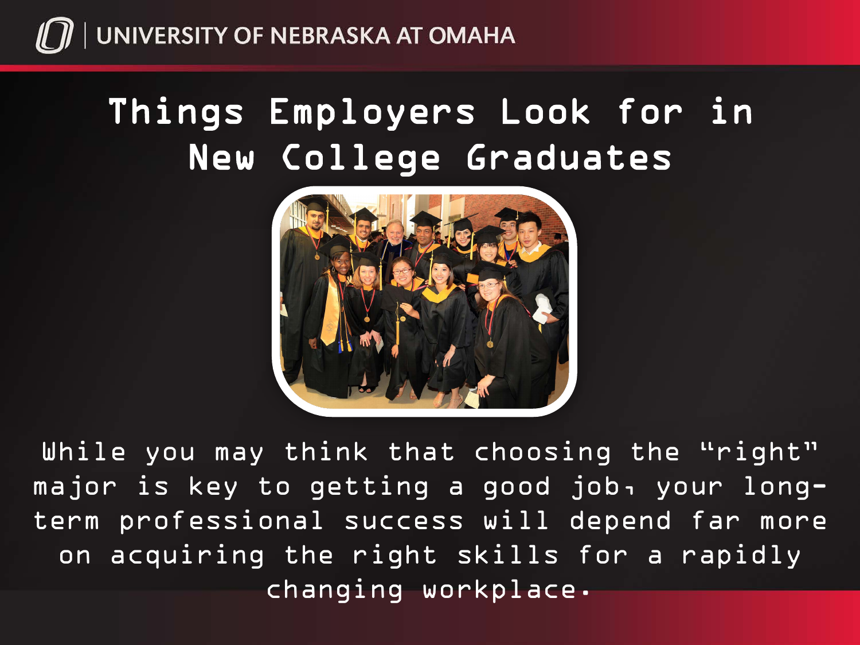

## Things Employers Look for in New College Graduates



While you may think that choosing the "right" major is key to getting a good job, your longterm professional success will depend far more on acquiring the right skills for a rapidly changing workplace.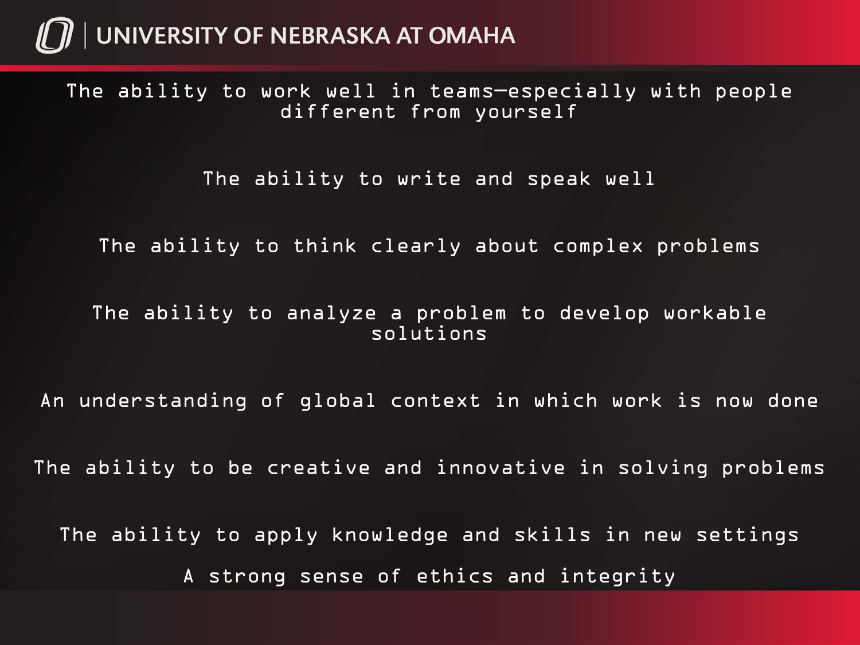### $\eta$  | UNIVERSITY OF NEBRASKA AT OMAHA

The ability to work well in teams—especially with people different from yourself

The ability to write and speak well

The ability to think clearly about complex problems

The ability to analyze a problem to develop workable solutions

An understanding of global context in which work is now done

The ability to be creative and innovative in solving problems

The ability to apply knowledge and skills in new settings A strong sense of ethics and integrity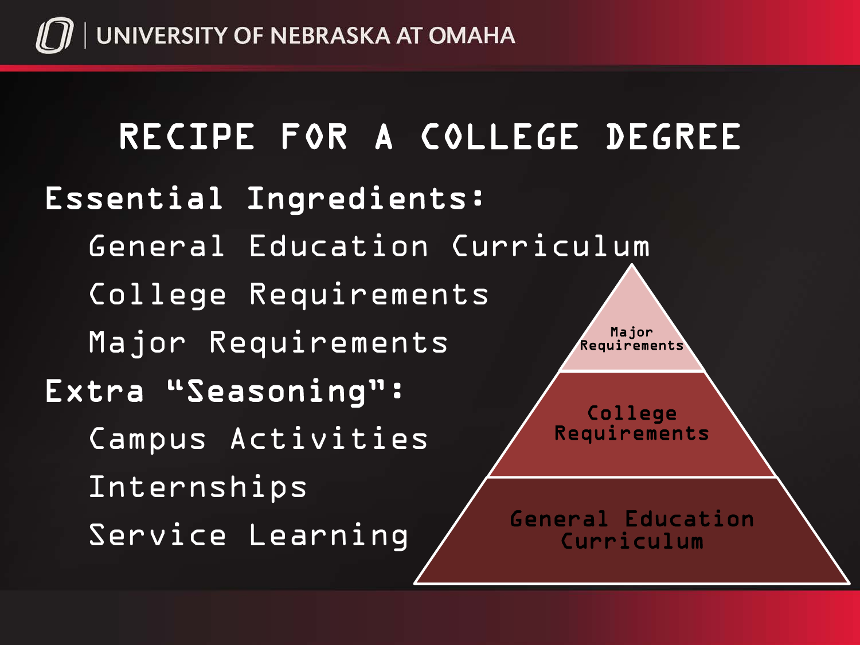

### RECIPE FOR A COLLEGE DEGREE Essential Ingredients: General Education Curriculum College Requirements Major Requirements Extra "Seasoning": Campus Activities Internships Service Learning Major Requirements College Requirements General Education Curriculum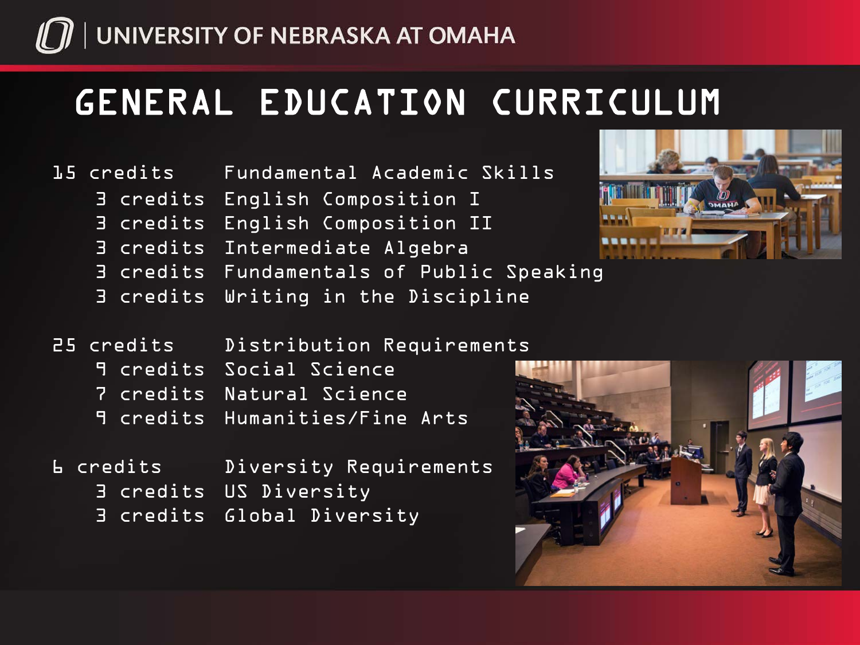

## GENERAL EDUCATION CURRICULUM

#### 15 credits Fundamental Academic Skills

- 3 credits English Composition I
- 3 credits English Composition II
- 3 credits Intermediate Algebra
- 3 credits Fundamentals of Public Speaking
- 3 credits Writing in the Discipline



### 25 credits Distribution Requirements

- 9 credits Social Science
- 7 credits Natural Science
- 9 credits Humanities/Fine Arts
- 6 credits Diversity Requirements 3 credits US Diversity 3 credits Global Diversity